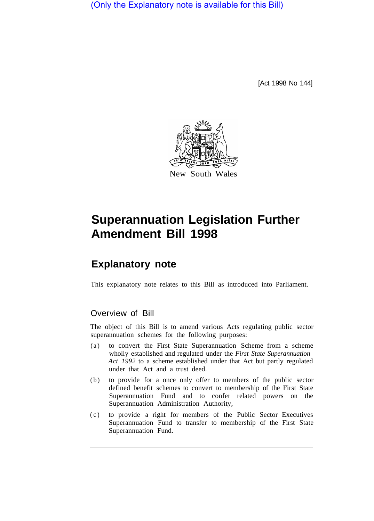(Only the Explanatory note is available for this Bill)

[Act 1998 No 144]



# **Superannuation Legislation Further Amendment Bill 1998**

## **Explanatory note**

This explanatory note relates to this Bill as introduced into Parliament.

### Overview of Bill

The object of this Bill is to amend various Acts regulating public sector superannuation schemes for the following purposes:

- (a) to convert the First State Superannuation Scheme from a scheme wholly established and regulated under the *First State Superannuation Act 1992* to a scheme established under that Act but partly regulated under that Act and a trust deed.
- (b) to provide for a once only offer to members of the public sector defined benefit schemes to convert to membership of the First State Superannuation Fund and to confer related powers on the Superannuation Administration Authority,
- (c) to provide a right for members of the Public Sector Executives Superannuation Fund to transfer to membership of the First State Superannuation Fund.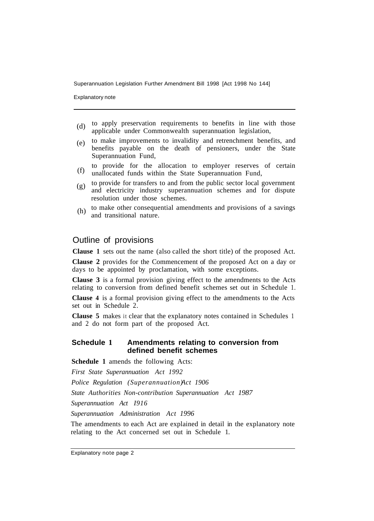Superannuation Legislation Further Amendment Bill 1998 [Act 1998 No 144]

Explanatory note

- to apply preservation requirements to benefits in line with those applicable under Commonwealth superannuation legislation, (d)
- to make improvements to invalidity and retrenchment benefits, and benefits payable on the death of pensioners, under the State Superannuation Fund,  $(e)$
- to provide for the allocation to employer reserves of certain unallocated funds within the State Superannuation Fund, (f)
- to provide for transfers to and from the public sector local government and electricity industry superannuation schemes and for dispute resolution under those schemes. (g)
- to make other consequential amendments and provisions of a savings and transitional nature. (h)

### Outline of provisions

**Clause 1** sets out the name (also called the short title) of the proposed Act.

**Clause 2** provides for the Commencement of the proposed Act on a day or days to be appointed by proclamation, with some exceptions.

**Clause 3** is a formal provision giving effect to the amendments to the Acts relating to conversion from defined benefit schemes set out in Schedule 1.

**Clause 4** is a formal provision giving effect to the amendments to the Acts set out in Schedule 2.

**Clause 5** makes it clear that the explanatory notes contained in Schedules 1 and 2 do not form part of the proposed Act.

#### **Schedule 1 Amendments relating to conversion from defined benefit schemes**

**Schedule 1** amends the following Acts:

*First State Superannuation Act 1992* 

*Police Regulation (Superannuation)Act 1906* 

*State Authorities Non-contribution Superannuation Act 1987* 

*Superannuation Act I916* 

*Superannuation Administration Act 1996* 

The amendments to each Act are explained in detail in the explanatory note relating to the Act concerned set out in Schedule 1.

Explanatory note page 2